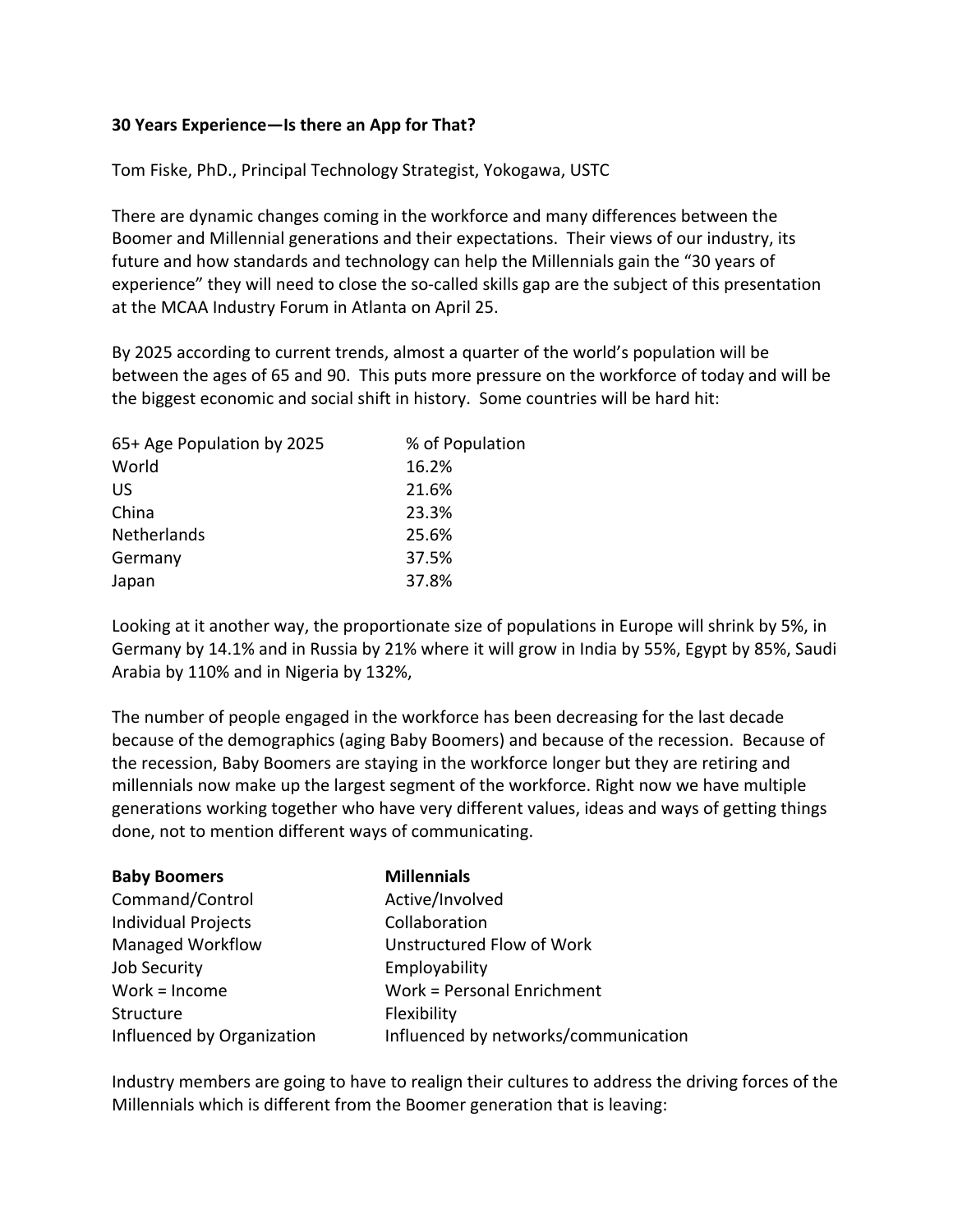## **30 Years Experience—Is there an App for That?**

Tom Fiske, PhD., Principal Technology Strategist, Yokogawa, USTC

There are dynamic changes coming in the workforce and many differences between the Boomer and Millennial generations and their expectations. Their views of our industry, its future and how standards and technology can help the Millennials gain the "30 years of experience" they will need to close the so-called skills gap are the subject of this presentation at the MCAA Industry Forum in Atlanta on April 25.

By 2025 according to current trends, almost a quarter of the world's population will be between the ages of 65 and 90. This puts more pressure on the workforce of today and will be the biggest economic and social shift in history. Some countries will be hard hit:

| 65+ Age Population by 2025 | % of Population |
|----------------------------|-----------------|
| World                      | 16.2%           |
| US                         | 21.6%           |
| China                      | 23.3%           |
| Netherlands                | 25.6%           |
| Germany                    | 37.5%           |
| Japan                      | 37.8%           |

Looking at it another way, the proportionate size of populations in Europe will shrink by 5%, in Germany by 14.1% and in Russia by 21% where it will grow in India by 55%, Egypt by 85%, Saudi Arabia by 110% and in Nigeria by 132%,

The number of people engaged in the workforce has been decreasing for the last decade because of the demographics (aging Baby Boomers) and because of the recession. Because of the recession, Baby Boomers are staying in the workforce longer but they are retiring and millennials now make up the largest segment of the workforce. Right now we have multiple generations working together who have very different values, ideas and ways of getting things done, not to mention different ways of communicating.

| <b>Baby Boomers</b>        | <b>Millennials</b>                   |
|----------------------------|--------------------------------------|
| Command/Control            | Active/Involved                      |
| <b>Individual Projects</b> | Collaboration                        |
| <b>Managed Workflow</b>    | Unstructured Flow of Work            |
| Job Security               | Employability                        |
| Work = $Income$            | Work = Personal Enrichment           |
| Structure                  | Flexibility                          |
| Influenced by Organization | Influenced by networks/communication |

Industry members are going to have to realign their cultures to address the driving forces of the Millennials which is different from the Boomer generation that is leaving: